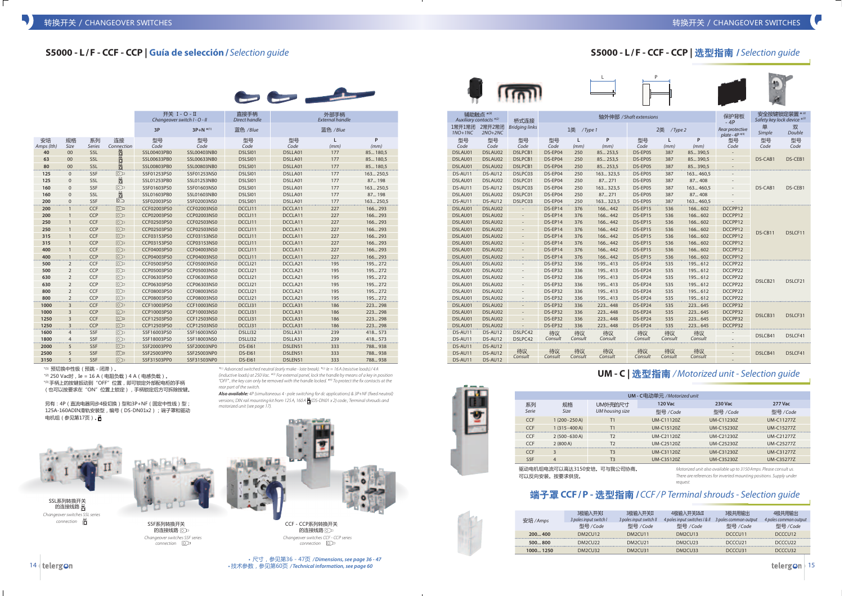SSL系列转换开关 的连接线路

 $444$ 

转换开关 / CHANGEOVER SWITCHES

 $\mathbf{B}$ 

## **S5000 - L/F - CCF - CCP | 选型指南 / Selection guide**

|  |  | <b>The Committee of the Committee</b><br>$\begin{array}{ccc} \bullet & \bullet & \bullet & \bullet \end{array}$ |
|--|--|-----------------------------------------------------------------------------------------------------------------|
|--|--|-----------------------------------------------------------------------------------------------------------------|

|                  |                |                 |                     |             | 开关 I-O-II<br>Changeover switch I - O - II | 直接手柄<br>Direct handle |            | 外部手柄<br><b>External handle</b> |           | Auxiliary contacts *(2) | <b>辅肋触点 *(2)</b>    | 桥式连接                     |            |            |             | 轴外伸部 / Shaft extensions |            |           | 保护背板<br>$-4P$                             |
|------------------|----------------|-----------------|---------------------|-------------|-------------------------------------------|-----------------------|------------|--------------------------------|-----------|-------------------------|---------------------|--------------------------|------------|------------|-------------|-------------------------|------------|-----------|-------------------------------------------|
|                  |                |                 |                     | 3P          | $3P+N$ *(1)                               | 蓝色 /Blue              |            | 蓝色 /Blue                       |           | 1常开1常闭<br>$1NO+1NC$     | 2常开2常闭<br>$2NO+2NC$ | <b>Bridging links</b>    |            | 1类 /Type 1 |             |                         | 2类 /Type 2 |           | Rear protecti                             |
| 安培<br>Amps (Ith) | 规格<br>Size     | 系列<br>Series    | 连接<br>Connection    | 型목<br>Code  | 型号<br>Code                                | 型号<br>Code            | 型号<br>Code | (mm)                           | P<br>(mm) | 型号<br>Code              | 型号<br>Code          | 型号<br>Code               | 型号<br>Code | .L<br>(mm) | P<br>(mm)   | 型号<br>Code              | (mm)       | P<br>(mm) | $plate - AP$ <sup>*(4</sup><br>型号<br>Code |
| 40               | 00             | S5L             |                     | S5L00403PB0 | S5L00403NB0                               | D5LSI01               | D5LLA01    | 177                            | 85 180,5  | D5LAU01                 | D5LAU02             | D5LPCB1                  | DS-EP04    | 250        | 85253,5     | DS-EP05                 | 387        | 85390,5   |                                           |
| 63               | 00             | S5L             |                     | S5L00633PB0 | S5L00633NB0                               | D5LSI01               | D5LLA01    | 177                            | 85 180,5  | D5LAU01                 | D5LAU02             | D5LPCB1                  | DS-EP04    | 250        | 85253,5     | DS-EP05                 | 387        | 85390,5   |                                           |
| 80               | 0 <sub>0</sub> | S5L             |                     | S5L00803PB0 | S5L00803NB0                               | D5LSI01               | D5LLA01    | 177                            | 85 180,5  | D5LAU01                 | D5LAU02             | D5LPCB1                  | DS-EP04    | 250        | 85253,5     | DS-EP05                 | 387        | 85390,5   |                                           |
| 125              | $\Omega$       | S5F             | $\circledcirc$      | S5F01253PS0 | S5F01253NS0                               | D5LSI01               | D5LLA01    | 177                            | 163 250,5 | DS-AU11                 | DS-AU12             | D5LPC03                  | DS-EP04    | 250        | 163 323,5   | DS-EP05                 | 387        | 163460,5  |                                           |
| 125              |                | S5L             | 晑                   | S5L01253PB0 | S5L01253NB0                               | D5LSI01               | D5LLA01    | 177                            | 87198     | D5LAU01                 | D5LAU02             | D5LPC01                  | DS-EP04    | 250        | 87271       | DS-EP05                 | 387        | 87408     |                                           |
| 160              |                | S5F             | $\circledcirc$      | S5F01603PS0 | S5F01603NS0                               | D5LSI01               | D5LLA01    | 177                            | 163 250,5 | DS-AU11                 | DS-AU12             | D5LPC03                  | DS-EP04    | 250        | 163 323,5   | DS-EP05                 | 387        | 163460,5  |                                           |
| 160              |                | S5L             | 晑                   | S5L01603PB0 | S5L01603NB0                               | D5LSI01               | D5LLA01    | 177                            | 87198     | D5LAU01                 | D5LAU02             | D5LPC01                  | DS-EP04    | 250        | 87271       | DS-EP05                 | 387        | 87408     |                                           |
| 200              |                | S5F             | $\circlearrowright$ | S5F02003PS0 | S5F02003NS0                               | D5LSI01               | D5LLA01    | 177                            | 163 250,5 | DS-AU11                 | DS-AU12             | D5LPC03                  | DS-EP04    | 250        | 163., 323.5 | DS-EP05                 | 387        | 163460,5  |                                           |
| 200              |                | CCF             | ا ⊘                 | CCF02003PS0 | CCF02003NS0                               | DCCLI11               | DCCLA11    | 227                            | 166293    | D5LAU01                 | D5LAU02             |                          | DS-EP14    | 376        | 166442      | DS-EP15                 | 536        | 166602    | DCCPP12                                   |
| 200              |                | <b>CCP</b>      | $\circledcirc$      | CCP02003PS0 | CCP02003NS0                               | DCCLI11               | DCCLA11    | 227                            | 166293    | D5LAU01                 | D5LAU02             | $\overline{\phantom{a}}$ | DS-EP14    | 376        | 166442      | DS-EP15                 | 536        | 166602    | DCCPP12                                   |
| 250              |                | CCF             | $\circledcirc$      | CCF02503PS0 | CCF02503NS0                               | DCCLI11               | DCCLA11    | 227                            | 166293    | D5LAU01                 | D5LAU02             | $\overline{\phantom{a}}$ | DS-EP14    | 376        | 166442      | DS-EP15                 | 536        | 166602    | DCCPP12                                   |
| 250              |                | CCP             | $\circledcirc$      | CCP02503PS0 | CCP02503NS0                               | DCCLI11               | DCCLA11    | 227                            | 166293    | D5LAU01                 | D5LAU02             | $\overline{\phantom{a}}$ | DS-EP14    | 376        | 166442      | DS-EP15                 | 536        | 166602    | DCCPP12                                   |
| 315              |                | CCF             | $\circledcirc$      | CCF03153PS0 | CCF03153NS0                               | DCCLI11               | DCCLA11    | 227                            | 166293    | D5LAU01                 | D5LAU02             | $\overline{\phantom{a}}$ | DS-EP14    | 376        | 166442      | DS-EP15                 | 536        | 166602    | DCCPP12                                   |
| 315              |                | <b>CCP</b>      | $\circledcirc$      | CCP03153PS0 | CCP03153NS0                               | DCCLI11               | DCCLA11    | 227                            | 166293    | D5LAU01                 | D5LAU02             | $\overline{\phantom{a}}$ | DS-EP14    | 376        | 166442      | DS-EP15                 | 536        | 166602    | DCCPP12                                   |
| 400              |                | CCF             | $\circledcirc$      | CCF04003PS0 | CCF04003NS0                               | DCCLI11               | DCCLA11    | 227                            | 166293    | D5LAU01                 | D5LAU02             | $\overline{\phantom{a}}$ | DS-EP14    | 376        | 166442      | DS-EP15                 | 536        | 166602    | DCCPP12                                   |
| 400              |                | CCP             | $\circledcirc$      | CCP04003PS0 | CCP04003NS0                               | DCCLI11               | DCCLA11    | 227                            | 166293    | D5LAU01                 | D5LAU02             | $\overline{\phantom{a}}$ | DS-EP14    | 376        | 166442      | DS-EP15                 | 536        | 166602    | DCCPP12                                   |
| 500              |                | <b>CCF</b>      | ⊙                   | CCF05003PS0 | CCF05003NS0                               | DCCLI21               | DCCLA21    | 195                            | 195272    | D5LAU01                 | D5LAU02             |                          | DS-EP32    | 336        | 195 413     | DS-EP24                 | 535        | 195 612   | DCCPP22                                   |
| 500              |                | CCP             | $\circledcirc$      | CCP05003PS0 | CCP05003NS0                               | DCCLI21               | DCCLA21    | 195                            | 195272    | D5LAU01                 | D5LAU02             | $\overline{\phantom{a}}$ | DS-EP32    | 336        | 195413      | DS-EP24                 | 535        | 195 612   | DCCPP22                                   |
| 630              |                | CCF             | $\circledcirc$      | CCF06303PS0 | CCF06303NS0                               | DCCLI21               | DCCLA21    | 195                            | 195272    | D5LAU01                 | D5LAU02             | $\overline{\phantom{a}}$ | DS-EP32    | 336        | 195 413     | DS-EP24                 | 535        | 195 612   | DCCPP22                                   |
| 630              |                | CCP             | $\circledcirc$      | CCP06303PS0 | CCP06303NS0                               | DCCLI21               | DCCLA21    | 195                            | 195272    | D5LAU01                 | D5LAU02             |                          | DS-EP32    | 336        | 195., 413   | DS-EP24                 | 535        | 195 612   | DCCPP22                                   |
| 800              |                | CCF             | $\circledcirc$      | CCF08003PS0 | CCF08003NS0                               | DCCLI21               | DCCLA21    | 195                            | 195272    | D5LAU01                 | D5LAU02             | $\overline{\phantom{a}}$ | DS-EP32    | 336        | 195 413     | DS-EP24                 | 535        | 195 612   | DCCPP22                                   |
| 800              |                | CCP             | $\overline{O}$      | CCP08003PS0 | CCP08003NS0                               | DCCLI21               | DCCLA21    | 195                            | 195272    | D5LAU01                 | D5LAU02             | $\overline{\phantom{a}}$ | DS-EP32    | 336        | 195., 413   | DS-EP24                 | 535        | 195  612  | DCCPP22                                   |
| 1000             |                | <b>CCF</b>      | $\circledcirc$      | CCF10003PS0 | CCF10003NS0                               | DCCLI31               | DCCLA31    | 186                            | 223298    | D5LAU01                 | D5LAU02             |                          | DS-EP32    | 336        | 223., 448   | DS-EP24                 | 535        | 223., 645 | DCCPP32                                   |
| 1000             |                | <b>CCP</b>      | $\circledcirc$      | CCP10003PS0 | CCP10003NS0                               | DCCLI31               | DCCLA31    | 186                            | 223298    | D5LAU01                 | D5LAU02             | $\overline{\phantom{a}}$ | DS-EP32    | 336        | 223., 448   | DS-EP24                 | 535        | 223645    | DCCPP32                                   |
| 1250             |                | CCF             | $\circledcirc$      | CCF12503PS0 | CCF12503NS0                               | DCCLI31               | DCCLA31    | 186                            | 223298    | D5LAU01                 | D5LAU02             | $\overline{\phantom{a}}$ | DS-EP32    | 336        | 223., 448   | DS-EP24                 | 535        | 223645    | DCCPP32                                   |
| 1250             |                | CCP             | $\circledcirc$      | CCP12503PS0 | CCP12503NS0                               | DCCLI31               | DCCLA31    | 186                            | 223298    | D5LAU01                 | D5LAU02             | $\overline{\phantom{a}}$ | DS-EP32    | 336        | 223448      | DS-EP24                 | 535        | 223645    | DCCPP32                                   |
| 1600             |                | S5F             | $\circledcirc$      | S5F16003PS0 | S5F16003NS0                               | D5LLI32               | D5LLA31    | 239                            | 418573    | DS-AU11                 | DS-AU12             | D5LPC42                  | 待议         | 待议         | 待议          | 待议                      | 待议         | 待议        |                                           |
| 1800             |                | S5F             | $\circledcirc$      | S5F18003PS0 | S5F18003NS0                               | D5LLI32               | D5LLA31    | 239                            | 418573    | DS-AU11                 | DS-AU12             | D5LPC42                  | Consult    | Consult    | Consult     | Consult                 | Consult    | Consult   |                                           |
| 2000             |                | S5F             | $\circledcirc$      | S5F20003PP0 | S5F20003NP0                               | DS-EI61               | D5LEN51    | 333                            | 788938    | DS-AU11                 | DS-AU12             | 待议                       | 待议         | 待议         | 待议          | 待议                      | 待议         | 待议        |                                           |
| 2500             |                | S <sub>5F</sub> | $\circledcirc$      | S5F25003PP0 | S5F25003NP0                               | <b>DS-EI61</b>        | D5LEN51    | 333                            | 788938    | DS-AU11                 | DS-AU12             | Consult                  | Consult    | Consult    | Consult     | Consult                 | Consult    | Consult   |                                           |
| 3150             |                | S5F             | $\overline{O}$      | S5F31503PP0 | S5F31503NP0                               | <b>DS-EI61</b>        | D5LEN51    | 333                            | 788938    | DS-AU11                 | DS-AU12             |                          |            |            |             |                         |            |           |                                           |

"(1) 预切换中性极 (预跳 - 闭滞 ) 。

 $^*$ (2) 250 Vac时, Ie = 16 A (电阻负载) 4 A (电感负载)。 \*®手柄上的按键扳动到"OFF"位置,即可锁定外部配电柜的手柄 (也可以按要求在"ON"位置上锁定),手柄锁定后方可拆除按键。

另有:4P ( 直流电器同步4极切换 ) 型和3P+NF ( 固定中性线 ) 型; 125A-160ADIN滑轨安装型,编号 ( DS-DN01x2 ) ;端子罩和驱动 电机组 (参见第17页) 。



Also available: 4P (simultaneous 4 - pole switching for dc applications) & 3P+NF (fixed neutral) versions; DIN rail mounting kit from 125 A, 160 A (DS-DN01 x 2) code.; Terminal shrouds and motorized unit (see page 17).



 $\textbf{4} \setminus \textbf{telergOn}$   $\textbf{O}(\textbf{F}) \setminus \textbf{15}$   $\textbf{B}(\textbf{F}) \setminus \textbf{15}$   $\textbf{B}(\textbf{F}) \setminus \textbf{15}$   $\textbf{B}(\textbf{F}) \setminus \textbf{15}$   $\textbf{B}(\textbf{F}) \setminus \textbf{15}$   $\textbf{B}(\textbf{F}) \setminus \textbf{15}$   $\textbf{B}(\textbf{F}) \setminus \textbf{15}$   $\textbf{B}(\textbf{F}) \setminus \textbf{15}$  • 尺寸 , 参见第36 - 47页 /Dimensions, see page 36 - 47<br><sup>粉 :</sup>参<sup>田第60页</sup> /Technical information, see nage 60

|            |                            |            |                |                            |                                           |                       |                    | $\begin{array}{c c c c c} \hline \rule{0pt}{12pt} & \rule{0pt}{12pt} & \rule{0pt}{12pt} & \rule{0pt}{12pt} & \rule{0pt}{12pt} & \rule{0pt}{12pt} & \rule{0pt}{12pt} & \rule{0pt}{12pt} & \rule{0pt}{12pt} & \rule{0pt}{12pt} & \rule{0pt}{12pt} & \rule{0pt}{12pt} & \rule{0pt}{12pt} & \rule{0pt}{12pt} & \rule{0pt}{12pt} & \rule{0pt}{12pt} & \rule{0pt}{12pt} & \rule{0pt}{12pt} & \rule{0$ |                    |
|------------|----------------------------|------------|----------------|----------------------------|-------------------------------------------|-----------------------|--------------------|-------------------------------------------------------------------------------------------------------------------------------------------------------------------------------------------------------------------------------------------------------------------------------------------------------------------------------------------------------------------------------------------------|--------------------|
|            |                            |            |                |                            | 开关 I-O-II<br>Changeover switch I - O - II | 直接手柄<br>Direct handle |                    | 外部手柄<br><b>External handle</b>                                                                                                                                                                                                                                                                                                                                                                  |                    |
|            |                            |            |                | 3P                         | $3P + N$ <sup>*(1)</sup>                  | 蓝色 /Blue              |                    | 蓝色 /Blue                                                                                                                                                                                                                                                                                                                                                                                        |                    |
| 安培         | 规格                         | 系列         | 连接             | 型号                         | 型号                                        | 型号                    | 型号                 | L                                                                                                                                                                                                                                                                                                                                                                                               | P                  |
| ps (Ith)   | Size                       | Series     | Connection     | Code                       | Code                                      | Code<br>D5LSI01       | Code               | (mm)                                                                                                                                                                                                                                                                                                                                                                                            | (mm)               |
| 40         | 00                         | S5L        |                | S5L00403PB0<br>S5L00633PB0 | S5L00403NB0<br>S5L00633NB0                | D5LSI01               | D5LLA01<br>D5LLA01 | 177                                                                                                                                                                                                                                                                                                                                                                                             | 85 180,5           |
| 63<br>80   | 0 <sup>c</sup><br>$\Omega$ | S5L<br>S5L |                | S5L00803PB0                | S5L00803NB0                               | D5LSI01               | D5LLA01            | 177<br>177                                                                                                                                                                                                                                                                                                                                                                                      | 85180,5<br>85180,5 |
|            |                            |            |                |                            |                                           |                       |                    |                                                                                                                                                                                                                                                                                                                                                                                                 |                    |
| 125        |                            | S5F<br>S5L | ⊙<br>髙         | S5F01253PS0<br>S5L01253PB0 | S5F01253NS0<br>S5L01253NB0                | D5LSI01<br>D5LSI01    | D5LLA01<br>D5LLA01 | 177<br>177                                                                                                                                                                                                                                                                                                                                                                                      | 163 250,5<br>87198 |
| 125        |                            | S5F        | $\circledcirc$ | S5F01603PS0                | S5F01603NS0                               | D5LSI01               | D5LLA01            | 177                                                                                                                                                                                                                                                                                                                                                                                             | 163 250,5          |
| 160<br>160 |                            | S5L        | ă              | S5L01603PB0                | S5L01603NB0                               | D5LSI01               | D5LLA01            | 177                                                                                                                                                                                                                                                                                                                                                                                             | 87198              |
| 200        |                            | S5F        | $\circ$        | S5F02003PS0                | S5F02003NS0                               | D5LSI01               | D5LLA01            | 177                                                                                                                                                                                                                                                                                                                                                                                             | 163 250,5          |
| 200        |                            | CCF        | $\circledcirc$ | CCF02003PS0                | CCF02003NS0                               | DCCLI11               | DCCLA11            | 227                                                                                                                                                                                                                                                                                                                                                                                             | 166293             |
| 200        |                            | CCP        | $\circledcirc$ | CCP02003PS0                | CCP02003NS0                               | DCCLI11               | DCCLA11            | 227                                                                                                                                                                                                                                                                                                                                                                                             | 166293             |
| 250        |                            | CCF        | $\circledcirc$ | CCF02503PS0                | CCF02503NS0                               | DCCLI11               | DCCLA11            | 227                                                                                                                                                                                                                                                                                                                                                                                             | 166293             |
| 250        |                            | CCP        | $\circledcirc$ | CCP02503PS0                | CCP02503NS0                               | DCCLI11               | DCCLA11            | 227                                                                                                                                                                                                                                                                                                                                                                                             | 166293             |
| 315        |                            | CCF        | $\circledcirc$ | CCF03153PS0                | CCF03153NS0                               | DCCLI11               | DCCLA11            | 227                                                                                                                                                                                                                                                                                                                                                                                             | 166293             |
| 315        |                            | CCP        | $\circledcirc$ | CCP03153PS0                | CCP03153NS0                               | DCCLI11               | DCCLA11            | 227                                                                                                                                                                                                                                                                                                                                                                                             | 166293             |
| 400        |                            | CCF        | $\circledcirc$ | CCF04003PS0                | CCF04003NS0                               | DCCLI11               | DCCLA11            | 227                                                                                                                                                                                                                                                                                                                                                                                             | 166293             |
| 400        |                            | CCP        | $\circledcirc$ | CCP04003PS0                | CCP04003NS0                               | DCCLI11               | DCCLA11            | 227                                                                                                                                                                                                                                                                                                                                                                                             | 166293             |
| 500        |                            | CCF        | $\circledcirc$ | CCF05003PS0                | CCF05003NS0                               | DCCLI21               | DCCLA21            | 195                                                                                                                                                                                                                                                                                                                                                                                             | 195272             |
| 500        |                            | CCP        | $\circledcirc$ | CCP05003PS0                | CCP05003NS0                               | DCCLI21               | DCCLA21            | 195                                                                                                                                                                                                                                                                                                                                                                                             | 195272             |
| 630        |                            | CCF        | $\circledcirc$ | CCF06303PS0                | CCF06303NS0                               | DCCLI21               | DCCLA21            | 195                                                                                                                                                                                                                                                                                                                                                                                             | 195272             |
| 630        |                            | CCP        | $\circledcirc$ | CCP06303PS0                | CCP06303NS0                               | DCCLI21               | DCCLA21            | 195                                                                                                                                                                                                                                                                                                                                                                                             | 195272             |
| 800        |                            | CCF        | $\bigcirc$     | CCF08003PS0                | CCF08003NS0                               | DCCLI21               | DCCLA21            | 195                                                                                                                                                                                                                                                                                                                                                                                             | 195272             |
| 800        |                            | CCP        | $\circledcirc$ | CCP08003PS0                | CCP08003NS0                               | DCCLI21               | DCCLA21            | 195                                                                                                                                                                                                                                                                                                                                                                                             | 195272             |
| 1000       |                            | CCF        | $\circledcirc$ | CCF10003PS0                | CCF10003NS0                               | DCCLI31               | DCCLA31            | 186                                                                                                                                                                                                                                                                                                                                                                                             | 223298             |
| 1000       |                            | <b>CCP</b> | $\circledcirc$ | CCP10003PS0                | CCP10003NS0                               | DCCLI31               | DCCLA31            | 186                                                                                                                                                                                                                                                                                                                                                                                             | 223298             |
| 1250       |                            | CCF        | $\circledcirc$ | CCF12503PS0                | CCF12503NS0                               | DCCLI31               | DCCLA31            | 186                                                                                                                                                                                                                                                                                                                                                                                             | 223298             |
| 1250       |                            | <b>CCP</b> | $\overline{O}$ | CCP12503PS0                | CCP12503NS0                               | DCCLI31               | DCCLA31            | 186                                                                                                                                                                                                                                                                                                                                                                                             | 223298             |
| 1600       |                            | S5F        | $\circledcirc$ | S5F16003PS0                | S5F16003NS0                               | D5LLI32               | D5LLA31            | 239                                                                                                                                                                                                                                                                                                                                                                                             | 418 573            |
| 800        |                            | S5F        | $\bigcirc$     | S5F18003PS0                | S5F18003NS0                               | D5LLI32               | D5LLA31            | 239                                                                                                                                                                                                                                                                                                                                                                                             | 418 573            |
| 2000       |                            | S5F        | $\circledcirc$ | S5F20003PP0                | S5F20003NP0                               | <b>DS-EI61</b>        | D5LEN51            | 333                                                                                                                                                                                                                                                                                                                                                                                             | 788938             |
| 2500       |                            | S5F        | $\circledcirc$ | S5F25003PP0                | S5F25003NP0                               | DS-EI61               | D5LEN51            | 333                                                                                                                                                                                                                                                                                                                                                                                             | 788938             |
| 3150       |                            | S5F        | $\overline{O}$ | S5F31503PP0                | S5F31503NP0                               | <b>DS-EI61</b>        | D5LEN51            | 333                                                                                                                                                                                                                                                                                                                                                                                             | 788938             |

L

**Gan** 

<u>Letter and the proper</u>

## UM - C | 选型指南 / Motorized unit - Selection guide

| UM - C电动单元 / Motorized unit |                 |                            |                   |                                                                    |                   |  |  |  |  |  |  |
|-----------------------------|-----------------|----------------------------|-------------------|--------------------------------------------------------------------|-------------------|--|--|--|--|--|--|
| 系列                          | 规格              | UM外壳的尺寸                    | 120 Vac           | 230 Vac                                                            | 277 Vac           |  |  |  |  |  |  |
| Serie                       | <b>Size</b>     | UM housing size            | 型号 /Code          | 型号 / Code                                                          | 型号/Code           |  |  |  |  |  |  |
| CCF                         | $1(200 - 250A)$ | T1                         | UM-C111207        | UM-C112307                                                         | UM-C112777        |  |  |  |  |  |  |
| CCF                         | $1(315 - 400A)$ | T1                         | UM-C151207        | UM-C152307                                                         | UM-C152777        |  |  |  |  |  |  |
| CCF                         | $2(500 - 630A)$ | T <sub>2</sub>             | <b>UM-C21120Z</b> | UM-C212307                                                         | UM-C212777        |  |  |  |  |  |  |
| CCF                         | 2(800A)         | T <sub>2</sub>             | UM-C251207        | UM-C252307                                                         | UM-C252777        |  |  |  |  |  |  |
| CCF                         | з               | T3                         | UM-C311207        | UM-C312307                                                         | UM-C312777        |  |  |  |  |  |  |
| S <sub>5F</sub>             | 4               | T <sub>3</sub>             | <b>UM-C35120Z</b> | <b>UM-C35230Z</b>                                                  | <b>UM-C35277Z</b> |  |  |  |  |  |  |
|                             |                 | 驱动电机组电流可以高达3150安培。可与我公司协商。 |                   | Motorized unit also available up to 3150 Amps. Please consult us.  |                   |  |  |  |  |  |  |
|                             | 可以反向安装。按要求供货。   |                            |                   | There are references for inverted mounting positions. Supply under |                   |  |  |  |  |  |  |

There are references for inverted mounting positions. Supply under request.

## 端子罩 CCF / P - 选型指南 / CCF / P Terminal shrouds - Selection guide

|           | 3极输入开关I                          |                                  |                                  |                       |                       |
|-----------|----------------------------------|----------------------------------|----------------------------------|-----------------------|-----------------------|
|           |                                  | 3极输入开关II                         | 4极输入开关I&II                       | 3极共用输出                | 4极共用输出                |
| 安培 / Amps | 3 poles input switch I           | 3 poles input switch II          | 4 poles input switches   & II    | 3 poles common output | 4 poles common output |
|           | 型号/Code                          | 型号 /Code                         | 型号 /Code                         | 型号 / Code             | 型号/Code               |
| 200400    | DM <sub>2</sub> CU <sub>12</sub> | DM <sub>2</sub> CU <sub>11</sub> | DM <sub>2</sub> CU <sub>13</sub> | DCCCU11               | DCCCU <sub>12</sub>   |
| 500800    | DM2CU22                          | DM <sub>2</sub> CU <sub>21</sub> | DM <sub>2</sub> CU <sub>23</sub> | $DCC$ $C1121$         | DCCCU <sub>22</sub>   |
| 1000 1250 | DM <sub>2</sub> CU <sub>32</sub> | DM <sub>2</sub> CU31             | DM2CU33                          | DCCCU31               | DCCCU32               |